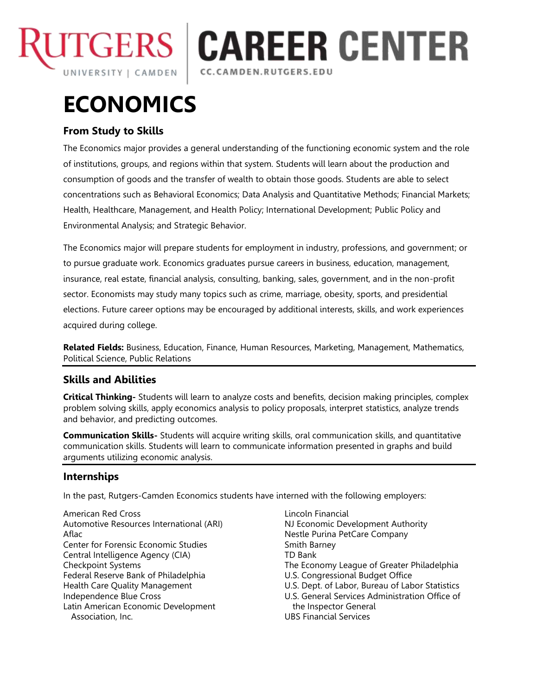

**TGERS | CAREER CENTER** CC.CAMDEN.RUTGERS.EDU

# **ECONOMICS**

# **From Study to Skills**

The Economics major provides a general understanding of the functioning economic system and the role of institutions, groups, and regions within that system. Students will learn about the production and consumption of goods and the transfer of wealth to obtain those goods. Students are able to select concentrations such as Behavioral Economics; Data Analysis and Quantitative Methods; Financial Markets; Health, Healthcare, Management, and Health Policy; International Development; Public Policy and Environmental Analysis; and Strategic Behavior.

The Economics major will prepare students for employment in industry, professions, and government; or to pursue graduate work. Economics graduates pursue careers in business, education, management, insurance, real estate, financial analysis, consulting, banking, sales, government, and in the non-profit sector. Economists may study many topics such as crime, marriage, obesity, sports, and presidential elections. Future career options may be encouraged by additional interests, skills, and work experiences acquired during college.

**Related Fields:** Business, Education, Finance, Human Resources, Marketing, Management, Mathematics, Political Science, Public Relations

# **Skills and Abilities**

**Critical Thinking-** Students will learn to analyze costs and benefits, decision making principles, complex problem solving skills, apply economics analysis to policy proposals, interpret statistics, analyze trends and behavior, and predicting outcomes.

**Communication Skills-** Students will acquire writing skills, oral communication skills, and quantitative communication skills. Students will learn to communicate information presented in graphs and build arguments utilizing economic analysis.

# **Internships**

In the past, Rutgers-Camden Economics students have interned with the following employers:

American Red Cross Automotive Resources International (ARI) Aflac Center for Forensic Economic Studies Central Intelligence Agency (CIA) Checkpoint Systems Federal Reserve Bank of Philadelphia Health Care Quality Management Independence Blue Cross Latin American Economic Development Association, Inc.

Lincoln Financial NJ Economic Development Authority Nestle Purina PetCare Company Smith Barney TD Bank The Economy League of Greater Philadelphia U.S. Congressional Budget Office U.S. Dept. of Labor, Bureau of Labor Statistics U.S. General Services Administration Office of the Inspector General UBS Financial Services